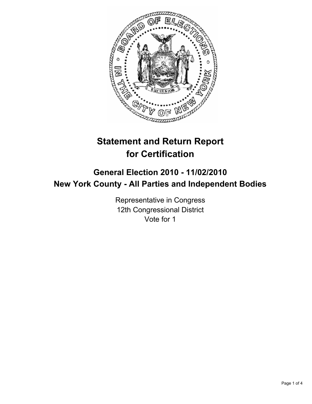

# **Statement and Return Report for Certification**

## **General Election 2010 - 11/02/2010 New York County - All Parties and Independent Bodies**

Representative in Congress 12th Congressional District Vote for 1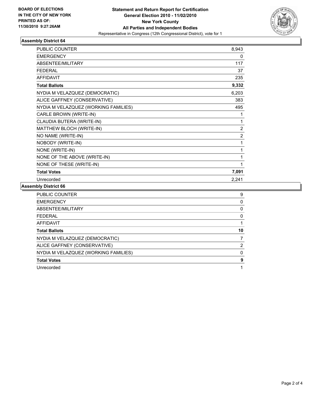

### **Assembly District 64**

| <b>PUBLIC COUNTER</b>                | 8,943          |
|--------------------------------------|----------------|
| <b>EMERGENCY</b>                     | 0              |
| <b>ABSENTEE/MILITARY</b>             | 117            |
| <b>FEDERAL</b>                       | 37             |
| <b>AFFIDAVIT</b>                     | 235            |
| <b>Total Ballots</b>                 | 9,332          |
| NYDIA M VELAZQUEZ (DEMOCRATIC)       | 6,203          |
| ALICE GAFFNEY (CONSERVATIVE)         | 383            |
| NYDIA M VELAZQUEZ (WORKING FAMILIES) | 495            |
| CARLE BROWN (WRITE-IN)               | 1              |
| CLAUDIA BUTERA (WRITE-IN)            | 1              |
| MATTHEW BLOCH (WRITE-IN)             | $\overline{2}$ |
| NO NAME (WRITE-IN)                   | $\overline{2}$ |
| NOBODY (WRITE-IN)                    | 1              |
| NONE (WRITE-IN)                      | 1              |
| NONE OF THE ABOVE (WRITE-IN)         | 1              |
| NONE OF THESE (WRITE-IN)             | 1              |
| <b>Total Votes</b>                   | 7,091          |
| Unrecorded                           | 2,241          |

#### **Assembly District 66**

| <b>PUBLIC COUNTER</b>                | 9  |
|--------------------------------------|----|
| <b>EMERGENCY</b>                     | 0  |
| ABSENTEE/MILITARY                    | 0  |
| <b>FEDERAL</b>                       | 0  |
| AFFIDAVIT                            |    |
| <b>Total Ballots</b>                 | 10 |
| NYDIA M VELAZQUEZ (DEMOCRATIC)       |    |
| ALICE GAFFNEY (CONSERVATIVE)         | 2  |
|                                      |    |
| NYDIA M VELAZQUEZ (WORKING FAMILIES) | 0  |
| <b>Total Votes</b>                   | 9  |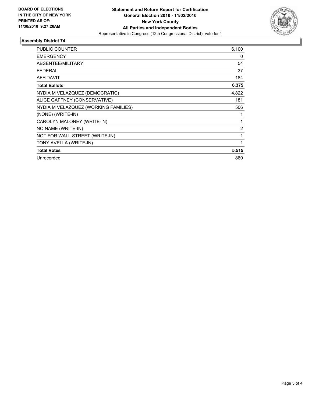

#### **Assembly District 74**

| <b>PUBLIC COUNTER</b>                | 6,100          |
|--------------------------------------|----------------|
| <b>EMERGENCY</b>                     | 0              |
| ABSENTEE/MILITARY                    | 54             |
| <b>FEDERAL</b>                       | 37             |
| <b>AFFIDAVIT</b>                     | 184            |
| <b>Total Ballots</b>                 | 6,375          |
| NYDIA M VELAZQUEZ (DEMOCRATIC)       | 4,822          |
| ALICE GAFFNEY (CONSERVATIVE)         | 181            |
| NYDIA M VELAZQUEZ (WORKING FAMILIES) | 506            |
| (NONE) (WRITE-IN)                    | 1              |
| CAROLYN MALONEY (WRITE-IN)           | 1              |
| NO NAME (WRITE-IN)                   | $\overline{2}$ |
| NOT FOR WALL STREET (WRITE-IN)       | 1              |
| TONY AVELLA (WRITE-IN)               | 1              |
| <b>Total Votes</b>                   | 5,515          |
| Unrecorded                           | 860            |